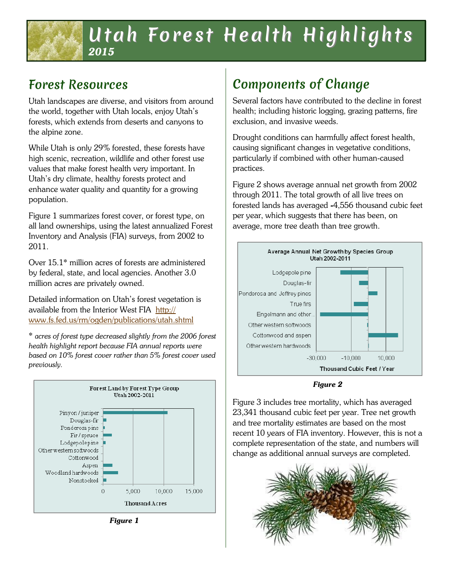## Utah Forest Health Highlights *2015*

### Forest Resources

Utah landscapes are diverse, and visitors from around the world, together with Utah locals, enjoy Utah's forests, which extends from deserts and canyons to the alpine zone.

While Utah is only 29% forested, these forests have high scenic, recreation, wildlife and other forest use values that make forest health very important. In Utah's dry climate, healthy forests protect and enhance water quality and quantity for a growing population.

Figure 1 summarizes forest cover, or forest type, on all land ownerships, using the latest annualized Forest Inventory and Analysis (FIA) surveys, from 2002 to 2011.

Over 15.1\* million acres of forests are administered by federal, state, and local agencies. Another 3.0 million acres are privately owned.

Detailed information on Utah's forest vegetation is available from the Interior West FIA [http://](http://www.fs.fed.us/rm/ogden/publications/utah.shtml) [www.fs.fed.us/rm/ogden/publications/utah.shtml](http://www.fs.fed.us/rm/ogden/publications/utah.shtml)

\* *acres of forest type decreased slightly from the 2006 forest health highlight report because FIA annual reports were based on 10% forest cover rather than 5% forest cover used previously.*



*Figure 1*

# Components of Change

Several factors have contributed to the decline in forest health; including historic logging, grazing patterns, fire exclusion, and invasive weeds.

Drought conditions can harmfully affect forest health, causing significant changes in vegetative conditions, particularly if combined with other human-caused practices.

Figure 2 shows average annual net growth from 2002 through 2011. The total growth of all live trees on forested lands has averaged *-*4,556 thousand cubic feet per year, which suggests that there has been, on average, more tree death than tree growth.



*Figure 2*

Figure 3 includes tree mortality, which has averaged 23,341 thousand cubic feet per year. Tree net growth and tree mortality estimates are based on the most recent 10 years of FIA inventory. However, this is not a complete representation of the state, and numbers will change as additional annual surveys are completed.

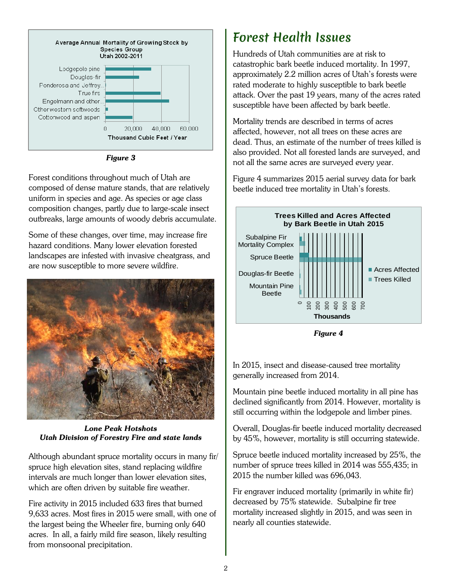

*Figure 3*

Forest conditions throughout much of Utah are composed of dense mature stands, that are relatively uniform in species and age. As species or age class composition changes, partly due to large-scale insect outbreaks, large amounts of woody debris accumulate.

Some of these changes, over time, may increase fire hazard conditions. Many lower elevation forested landscapes are infested with invasive cheatgrass, and are now susceptible to more severe wildfire.



*Lone Peak Hotshots Utah Division of Forestry Fire and state lands*

Although abundant spruce mortality occurs in many fir/ spruce high elevation sites, stand replacing wildfire intervals are much longer than lower elevation sites, which are often driven by suitable fire weather.

Fire activity in 2015 included 633 fires that burned 9,633 acres. Most fires in 2015 were small, with one of the largest being the Wheeler fire, burning only 640 acres. In all, a fairly mild fire season, likely resulting from monsoonal precipitation.

## Forest Health Issues

Hundreds of Utah communities are at risk to catastrophic bark beetle induced mortality. In 1997, approximately 2.2 million acres of Utah's forests were rated moderate to highly susceptible to bark beetle attack. Over the past 19 years, many of the acres rated susceptible have been affected by bark beetle.

Mortality trends are described in terms of acres affected, however, not all trees on these acres are dead. Thus, an estimate of the number of trees killed is also provided. Not all forested lands are surveyed, and not all the same acres are surveyed every year.

Figure 4 summarizes 2015 aerial survey data for bark beetle induced tree mortality in Utah's forests.



*Figure 4*

In 2015, insect and disease-caused tree mortality generally increased from 2014.

Mountain pine beetle induced mortality in all pine has declined significantly from 2014. However, mortality is still occurring within the lodgepole and limber pines.

Overall, Douglas-fir beetle induced mortality decreased by 45%, however, mortality is still occurring statewide.

Spruce beetle induced mortality increased by 25%, the number of spruce trees killed in 2014 was 555,435; in 2015 the number killed was 696,043.

Fir engraver induced mortality (primarily in white fir) decreased by 75% statewide. Subalpine fir tree mortality increased slightly in 2015, and was seen in nearly all counties statewide.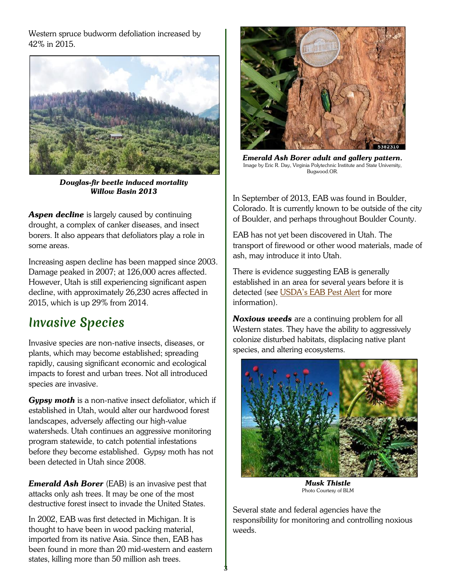Western spruce budworm defoliation increased by 42% in 2015.



*Douglas-fir beetle induced mortality Willow Basin 2013* 

**Aspen decline** is largely caused by continuing drought, a complex of canker diseases, and insect borers. It also appears that defoliators play a role in some areas.

Increasing aspen decline has been mapped since 2003. Damage peaked in 2007; at 126,000 acres affected. However, Utah is still experiencing significant aspen decline, with approximately 26,230 acres affected in 2015, which is up 29% from 2014.

#### Invasive Species

Invasive species are non-native insects, diseases, or plants, which may become established; spreading rapidly, causing significant economic and ecological impacts to forest and urban trees. Not all introduced species are invasive.

*Gypsy moth* is a non-native insect defoliator, which if established in Utah, would alter our hardwood forest landscapes, adversely affecting our high-value watersheds. Utah continues an aggressive monitoring program statewide, to catch potential infestations before they become established. Gypsy moth has not been detected in Utah since 2008.

*Emerald Ash Borer* (EAB) is an invasive pest that attacks only ash trees. It may be one of the most destructive forest insect to invade the United States.

In 2002, EAB was first detected in Michigan. It is thought to have been in wood packing material, imported from its native Asia. Since then, EAB has been found in more than 20 mid-western and eastern states, killing more than 50 million ash trees.



*Emerald Ash Borer adult and gallery pattern.* Image by Eric R. Day, Virginia Polytechnic Institute and State University, Bugwood.OR.

In September of 2013, EAB was found in Boulder, Colorado. It is currently known to be outside of the city of Boulder, and perhaps throughout Boulder County.

EAB has not yet been discovered in Utah. The transport of firewood or other wood materials, made of ash, may introduc*e* it into Utah.

There is evidence suggesting EAB is generally established in an area for several years before it is detected (see [USDA's EAB Pest Alert](http://na.fs.fed.us/spfo/pubs/pest_al/eab/eab.pdf) for more information).

*Noxious weeds* are a continuing problem for all Western states. They have the ability to aggressively colonize disturbed habitats, displacing native plant species, and altering ecosystems.



*Musk Thistle*  Photo Courtesy of BLM

Several state and federal agencies have the responsibility for monitoring and controlling noxious weeds.

3